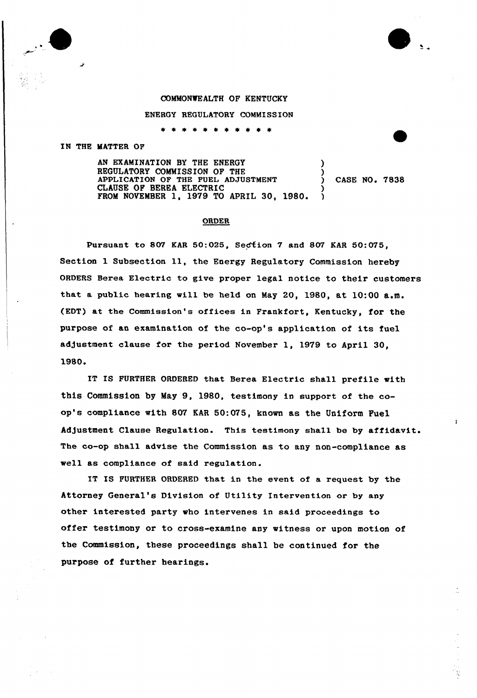## COMMONIEALTH OF KENTUCKY

ENERGY REGULATORY COMMISSION

\* \* \* \* \* \* \* \*

## IN THE MATTER OF

AN EXAMINATION BY THE ENERGY REGULATORY COMMISSION OF THE APPLICATION OF THE FUEL ADJUSTMENT CLAUSE OF BEREA ELECTRIC FROM NOVEMBER 1, 1979 TO APRIL 30, 1980. )  $\lambda$ ) CASE NO <sup>~</sup> 7838 )

## ORDER

Pursuant to 807 KAR 50:025, Section 7 and 807 KAR 50:075, Section <sup>1</sup> Subsection ll, the Energy Regulatory Commission hereby ORDERS Berea Electric to give proper legal notice to their customers that a public hearing will be held on May 20, 1980, at 10:00 a.m. (EDT) at the Commission's offices in Frankfort, Kentucky, for the purpose of an examination of the co-op's application of its fuel adjustment clause for the period November 1, 1979 to April 30. 1980.

IT IS FURTHER ORDERED that Berea Electric shall prefile with this Commission by May 9, 1980, testimony in support of the coop's compliance with 807 KAR 50:075, known as the Uniform Pue1 Adjustment Clause Regulation. This testimony shall be by affidavit. The co-op shall advise the Commission as to any non-compliance as well as compliance of said regulation.

IT IS FURTHER ORDERED that in the event of a request by the Attorney General's D1v1s1on of Utility Intervention or by any other interested party who intervenes in said proceedings to offer testimony or to cross-examine any witness or upon motion of the Commission, these proceedings shall be continued for the purpose of further hearings.